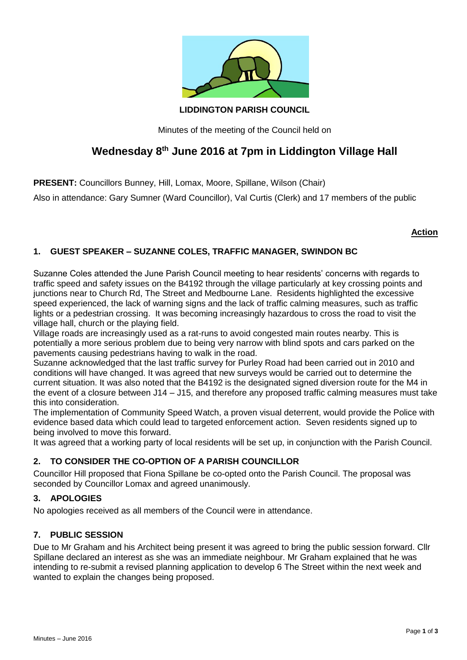

**LIDDINGTON PARISH COUNCIL**

Minutes of the meeting of the Council held on

# **Wednesday 8th June 2016 at 7pm in Liddington Village Hall**

**PRESENT:** Councillors Bunney, Hill, Lomax, Moore, Spillane, Wilson (Chair)

Also in attendance: Gary Sumner (Ward Councillor), Val Curtis (Clerk) and 17 members of the public

# **Action**

# **1. GUEST SPEAKER – SUZANNE COLES, TRAFFIC MANAGER, SWINDON BC**

Suzanne Coles attended the June Parish Council meeting to hear residents' concerns with regards to traffic speed and safety issues on the B4192 through the village particularly at key crossing points and junctions near to Church Rd, The Street and Medbourne Lane. Residents highlighted the excessive speed experienced, the lack of warning signs and the lack of traffic calming measures, such as traffic lights or a pedestrian crossing. It was becoming increasingly hazardous to cross the road to visit the village hall, church or the playing field.

Village roads are increasingly used as a rat-runs to avoid congested main routes nearby. This is potentially a more serious problem due to being very narrow with blind spots and cars parked on the pavements causing pedestrians having to walk in the road.

Suzanne acknowledged that the last traffic survey for Purley Road had been carried out in 2010 and conditions will have changed. It was agreed that new surveys would be carried out to determine the current situation. It was also noted that the B4192 is the designated signed diversion route for the M4 in the event of a closure between J14 – J15, and therefore any proposed traffic calming measures must take this into consideration.

The implementation of Community Speed Watch, a proven visual deterrent, would provide the Police with evidence based data which could lead to targeted enforcement action. Seven residents signed up to being involved to move this forward.

It was agreed that a working party of local residents will be set up, in conjunction with the Parish Council.

# **2. TO CONSIDER THE CO-OPTION OF A PARISH COUNCILLOR**

Councillor Hill proposed that Fiona Spillane be co-opted onto the Parish Council. The proposal was seconded by Councillor Lomax and agreed unanimously.

# **3. APOLOGIES**

No apologies received as all members of the Council were in attendance.

# **7. PUBLIC SESSION**

Due to Mr Graham and his Architect being present it was agreed to bring the public session forward. Cllr Spillane declared an interest as she was an immediate neighbour. Mr Graham explained that he was intending to re-submit a revised planning application to develop 6 The Street within the next week and wanted to explain the changes being proposed.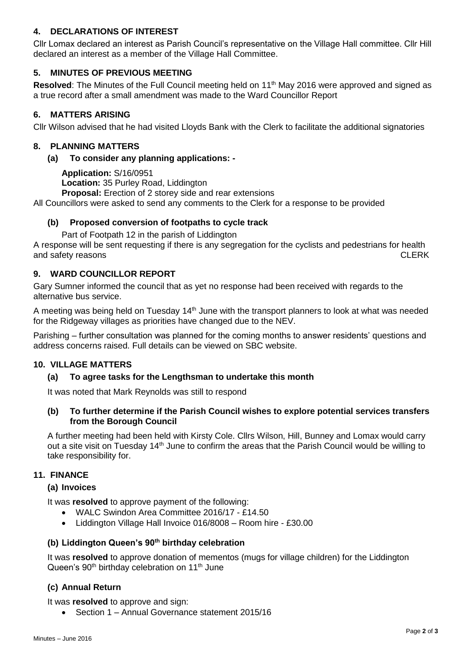# **4. DECLARATIONS OF INTEREST**

Cllr Lomax declared an interest as Parish Council's representative on the Village Hall committee. Cllr Hill declared an interest as a member of the Village Hall Committee.

# **5. MINUTES OF PREVIOUS MEETING**

**Resolved:** The Minutes of the Full Council meeting held on 11<sup>th</sup> May 2016 were approved and signed as a true record after a small amendment was made to the Ward Councillor Report

## **6. MATTERS ARISING**

Cllr Wilson advised that he had visited Lloyds Bank with the Clerk to facilitate the additional signatories

## **8. PLANNING MATTERS**

#### **(a) To consider any planning applications: -**

**Application:** S/16/0951 **Location:** 35 Purley Road, Liddington

**Proposal:** Erection of 2 storey side and rear extensions

All Councillors were asked to send any comments to the Clerk for a response to be provided

## **(b) Proposed conversion of footpaths to cycle track**

Part of Footpath 12 in the parish of Liddington

A response will be sent requesting if there is any segregation for the cyclists and pedestrians for health and safety reasons CLERK

## **9. WARD COUNCILLOR REPORT**

Gary Sumner informed the council that as yet no response had been received with regards to the alternative bus service.

A meeting was being held on Tuesday  $14<sup>th</sup>$  June with the transport planners to look at what was needed for the Ridgeway villages as priorities have changed due to the NEV.

Parishing – further consultation was planned for the coming months to answer residents' questions and address concerns raised. Full details can be viewed on SBC website.

## **10. VILLAGE MATTERS**

#### **(a) To agree tasks for the Lengthsman to undertake this month**

It was noted that Mark Reynolds was still to respond

#### **(b) To further determine if the Parish Council wishes to explore potential services transfers from the Borough Council**

A further meeting had been held with Kirsty Cole. Cllrs Wilson, Hill, Bunney and Lomax would carry out a site visit on Tuesday 14<sup>th</sup> June to confirm the areas that the Parish Council would be willing to take responsibility for.

#### **11. FINANCE**

## **(a) Invoices**

It was **resolved** to approve payment of the following:

- WALC Swindon Area Committee 2016/17 £14.50
- Liddington Village Hall Invoice 016/8008 Room hire £30.00

## **(b) Liddington Queen's 90th birthday celebration**

It was **resolved** to approve donation of mementos (mugs for village children) for the Liddington Queen's 90<sup>th</sup> birthday celebration on 11<sup>th</sup> June

## **(c) Annual Return**

It was **resolved** to approve and sign:

• Section 1 – Annual Governance statement 2015/16